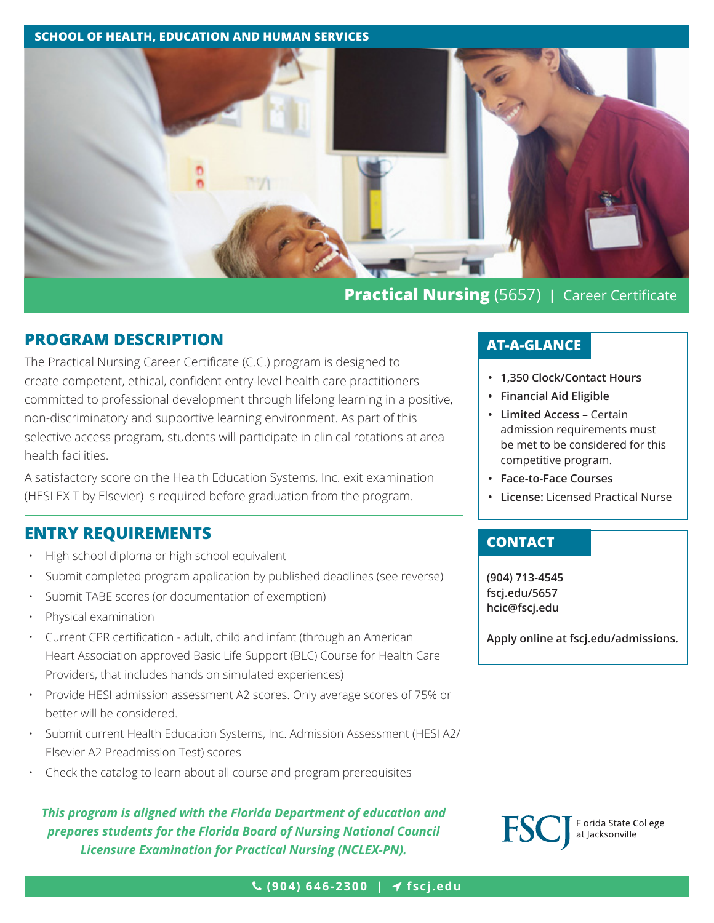#### **SCHOOL OF HEALTH, EDUCATION AND HUMAN SERVICES**



# **PROGRAM DESCRIPTION**

The Practical Nursing Career Certificate (C.C.) program is designed to create competent, ethical, confident entry-level health care practitioners committed to professional development through lifelong learning in a positive, non-discriminatory and supportive learning environment. As part of this selective access program, students will participate in clinical rotations at area health facilities.

A satisfactory score on the Health Education Systems, Inc. exit examination (HESI EXIT by Elsevier) is required before graduation from the program.

# **ENTRY REQUIREMENTS**

- High school diploma or high school equivalent
- Submit completed program application by published deadlines (see reverse)
- Submit TABE scores (or documentation of exemption)
- Physical examination
- Current CPR certification adult, child and infant (through an American Heart Association approved Basic Life Support (BLC) Course for Health Care Providers, that includes hands on simulated experiences)
- Provide HESI admission assessment A2 scores. Only average scores of 75% or better will be considered.
- Submit current Health Education Systems, Inc. Admission Assessment (HESI A2/ Elsevier A2 Preadmission Test) scores
- Check the catalog to learn about all course and program prerequisites

## *This program is aligned with the Florida Department of education and prepares students for the Florida Board of Nursing National Council Licensure Examination for Practical Nursing (NCLEX-PN).*

## **AT-A-GLANCE**

- **• 1,350 Clock/Contact Hours**
- **• Financial Aid Eligible**
- **• Limited Access** Certain admission requirements must be met to be considered for this competitive program.
- **• Face-to-Face Courses**
- **• License:** Licensed Practical Nurse

## **CONTACT**

**(904) 713-4545 fscj.edu/5657 [hcic@fscj.edu](mailto:hcic%40fscj.edu?subject=)**

**Apply online at [fscj.edu/admissions](http://www.fscj.edu/admissions).**